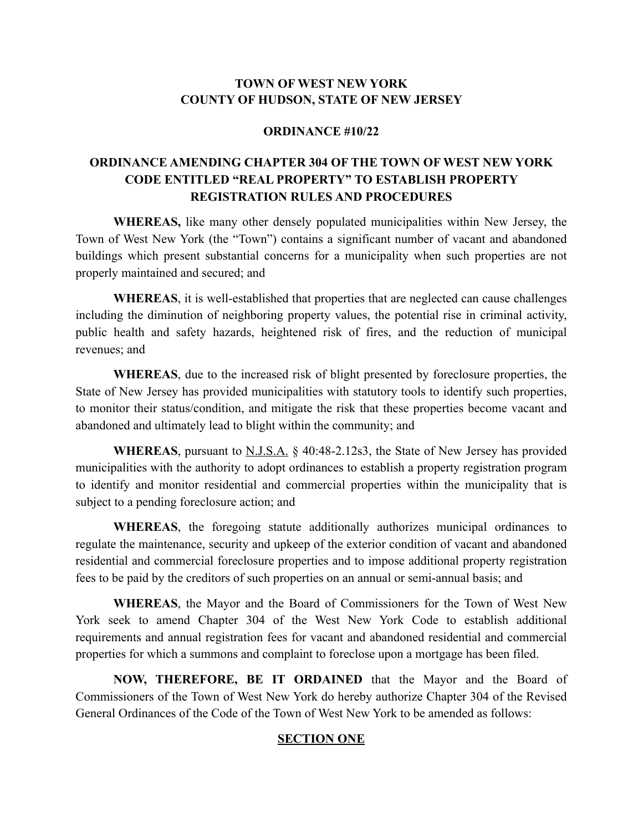# **TOWN OF WEST NEW YORK COUNTY OF HUDSON, STATE OF NEW JERSEY**

#### **ORDINANCE #10/22**

# **ORDINANCE AMENDING CHAPTER 304 OF THE TOWN OF WEST NEW YORK CODE ENTITLED "REAL PROPERTY" TO ESTABLISH PROPERTY REGISTRATION RULES AND PROCEDURES**

**WHEREAS,** like many other densely populated municipalities within New Jersey, the Town of West New York (the "Town") contains a significant number of vacant and abandoned buildings which present substantial concerns for a municipality when such properties are not properly maintained and secured; and

**WHEREAS**, it is well-established that properties that are neglected can cause challenges including the diminution of neighboring property values, the potential rise in criminal activity, public health and safety hazards, heightened risk of fires, and the reduction of municipal revenues; and

**WHEREAS**, due to the increased risk of blight presented by foreclosure properties, the State of New Jersey has provided municipalities with statutory tools to identify such properties, to monitor their status/condition, and mitigate the risk that these properties become vacant and abandoned and ultimately lead to blight within the community; and

**WHEREAS**, pursuant to N.J.S.A. § 40:48-2.12s3, the State of New Jersey has provided municipalities with the authority to adopt ordinances to establish a property registration program to identify and monitor residential and commercial properties within the municipality that is subject to a pending foreclosure action; and

**WHEREAS**, the foregoing statute additionally authorizes municipal ordinances to regulate the maintenance, security and upkeep of the exterior condition of vacant and abandoned residential and commercial foreclosure properties and to impose additional property registration fees to be paid by the creditors of such properties on an annual or semi-annual basis; and

**WHEREAS**, the Mayor and the Board of Commissioners for the Town of West New York seek to amend Chapter 304 of the West New York Code to establish additional requirements and annual registration fees for vacant and abandoned residential and commercial properties for which a summons and complaint to foreclose upon a mortgage has been filed.

**NOW, THEREFORE, BE IT ORDAINED** that the Mayor and the Board of Commissioners of the Town of West New York do hereby authorize Chapter 304 of the Revised General Ordinances of the Code of the Town of West New York to be amended as follows:

#### **SECTION ONE**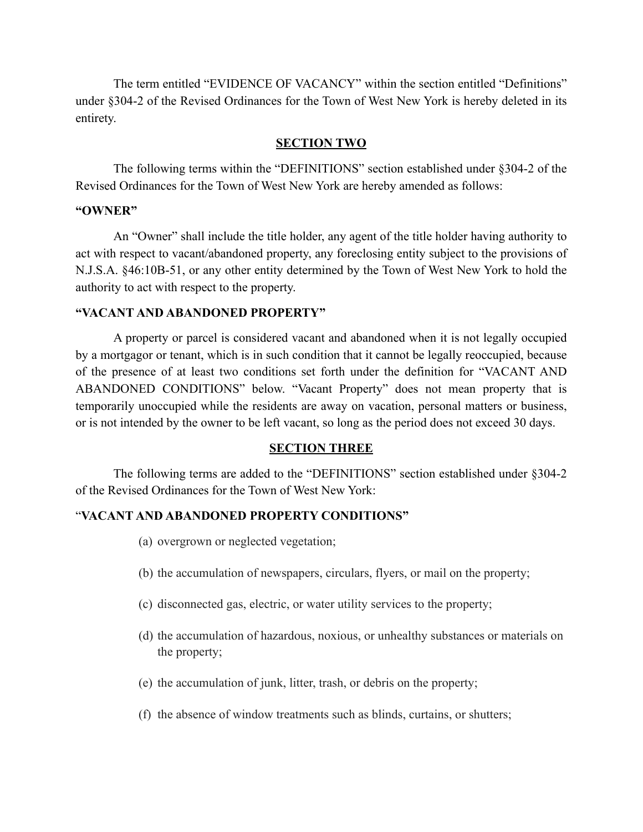The term entitled "EVIDENCE OF VACANCY" within the section entitled "Definitions" under §304-2 of the Revised Ordinances for the Town of West New York is hereby deleted in its entirety.

### **SECTION TWO**

The following terms within the "DEFINITIONS" section established under §304-2 of the Revised Ordinances for the Town of West New York are hereby amended as follows:

### **"OWNER"**

 An "Owner" shall include the title holder, any agent of the title holder having authority to act with respect to vacant/abandoned property, any foreclosing entity subject to the provisions of N.J.S.A. §46:10B-51, or any other entity determined by the Town of West New York to hold the authority to act with respect to the property.

# **"VACANT AND ABANDONED PROPERTY"**

 A property or parcel is considered vacant and abandoned when it is not legally occupied by a mortgagor or tenant, which is in such condition that it cannot be legally reoccupied, because of the presence of at least two conditions set forth under the definition for "VACANT AND ABANDONED CONDITIONS" below. "Vacant Property" does not mean property that is temporarily unoccupied while the residents are away on vacation, personal matters or business, or is not intended by the owner to be left vacant, so long as the period does not exceed 30 days.

### **SECTION THREE**

The following terms are added to the "DEFINITIONS" section established under §304-2 of the Revised Ordinances for the Town of West New York:

# "**VACANT AND ABANDONED PROPERTY CONDITIONS"**

- (a) overgrown or neglected vegetation;
- (b) the accumulation of newspapers, circulars, flyers, or mail on the property;
- (c) disconnected gas, electric, or water utility services to the property;
- (d) the accumulation of hazardous, noxious, or unhealthy substances or materials on the property;
- (e) the accumulation of junk, litter, trash, or debris on the property;
- (f) the absence of window treatments such as blinds, curtains, or shutters;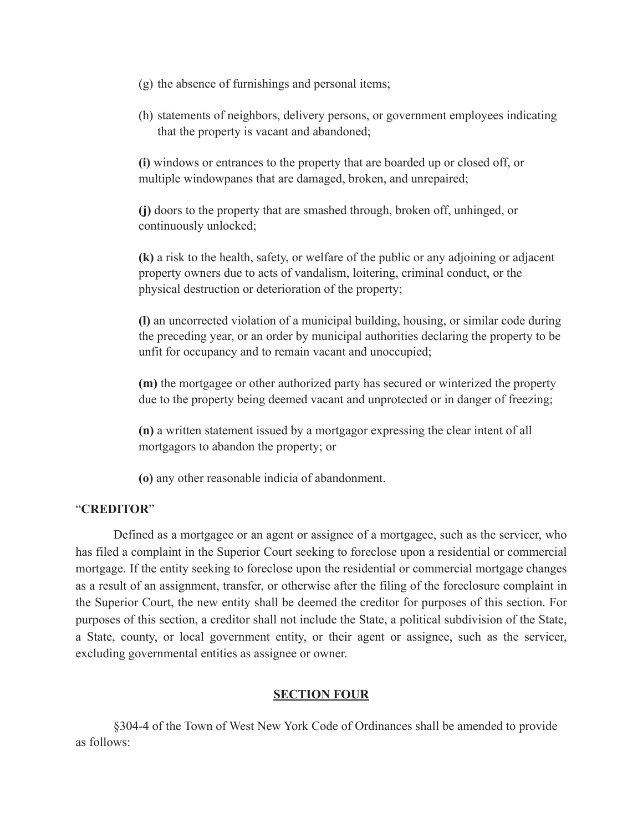- (g) the absence of furnishings and personal items;
- (h) statements of neighbors, delivery persons, or government employees indicating that the property is vacant and abandoned;

**(i)** windows or entrances to the property that are boarded up or closed off, or multiple windowpanes that are damaged, broken, and unrepaired;

**(j)** doors to the property that are smashed through, broken off, unhinged, or continuously unlocked;

**(k)** a risk to the health, safety, or welfare of the public or any adjoining or adjacent property owners due to acts of vandalism, loitering, criminal conduct, or the physical destruction or deterioration of the property;

**(l)** an uncorrected violation of a municipal building, housing, or similar code during the preceding year, or an order by municipal authorities declaring the property to be unfit for occupancy and to remain vacant and unoccupied;

**(m)** the mortgagee or other authorized party has secured or winterized the property due to the property being deemed vacant and unprotected or in danger of freezing;

**(n)** a written statement issued by a mortgagor expressing the clear intent of all mortgagors to abandon the property; or

**(o)** any other reasonable indicia of abandonment.

### "**CREDITOR**"

Defined as a mortgagee or an agent or assignee of a mortgagee, such as the servicer, who has filed a complaint in the Superior Court seeking to foreclose upon a residential or commercial mortgage. If the entity seeking to foreclose upon the residential or commercial mortgage changes as a result of an assignment, transfer, or otherwise after the filing of the foreclosure complaint in the Superior Court, the new entity shall be deemed the creditor for purposes of this section. For purposes of this section, a creditor shall not include the State, a political subdivision of the State, a State, county, or local government entity, or their agent or assignee, such as the servicer, excluding governmental entities as assignee or owner.

### **SECTION FOUR**

§304-4 of the Town of West New York Code of Ordinances shall be amended to provide as follows: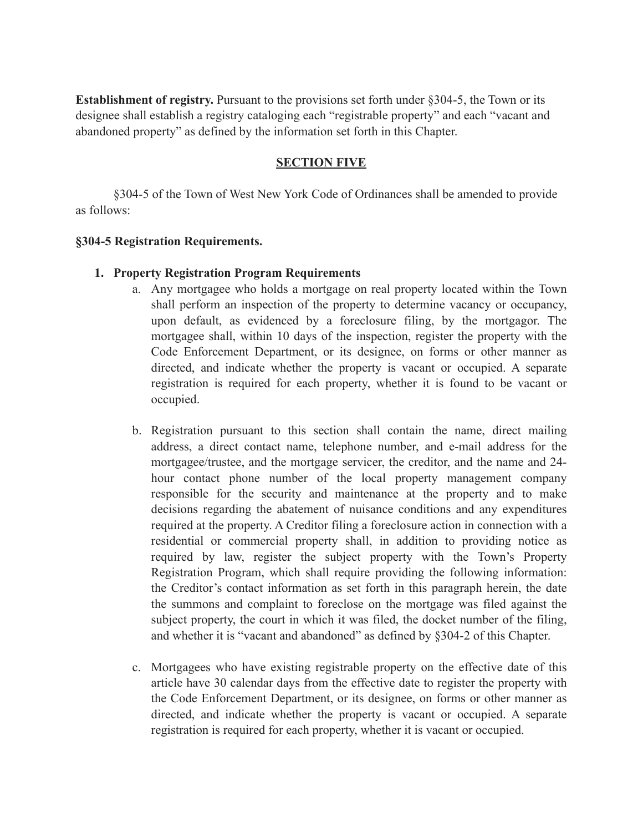**Establishment of registry.** Pursuant to the provisions set forth under §304-5, the Town or its designee shall establish a registry cataloging each "registrable property" and each "vacant and abandoned property" as defined by the information set forth in this Chapter.

# **SECTION FIVE**

§304-5 of the Town of West New York Code of Ordinances shall be amended to provide as follows:

### **§304-5 Registration Requirements.**

### **1. Property Registration Program Requirements**

- a. Any mortgagee who holds a mortgage on real property located within the Town shall perform an inspection of the property to determine vacancy or occupancy, upon default, as evidenced by a foreclosure filing, by the mortgagor. The mortgagee shall, within 10 days of the inspection, register the property with the Code Enforcement Department, or its designee, on forms or other manner as directed, and indicate whether the property is vacant or occupied. A separate registration is required for each property, whether it is found to be vacant or occupied.
- b. Registration pursuant to this section shall contain the name, direct mailing address, a direct contact name, telephone number, and e-mail address for the mortgagee/trustee, and the mortgage servicer, the creditor, and the name and 24 hour contact phone number of the local property management company responsible for the security and maintenance at the property and to make decisions regarding the abatement of nuisance conditions and any expenditures required at the property. A Creditor filing a foreclosure action in connection with a residential or commercial property shall, in addition to providing notice as required by law, register the subject property with the Town's Property Registration Program, which shall require providing the following information: the Creditor's contact information as set forth in this paragraph herein, the date the summons and complaint to foreclose on the mortgage was filed against the subject property, the court in which it was filed, the docket number of the filing, and whether it is "vacant and abandoned" as defined by §304-2 of this Chapter.
- c. Mortgagees who have existing registrable property on the effective date of this article have 30 calendar days from the effective date to register the property with the Code Enforcement Department, or its designee, on forms or other manner as directed, and indicate whether the property is vacant or occupied. A separate registration is required for each property, whether it is vacant or occupied.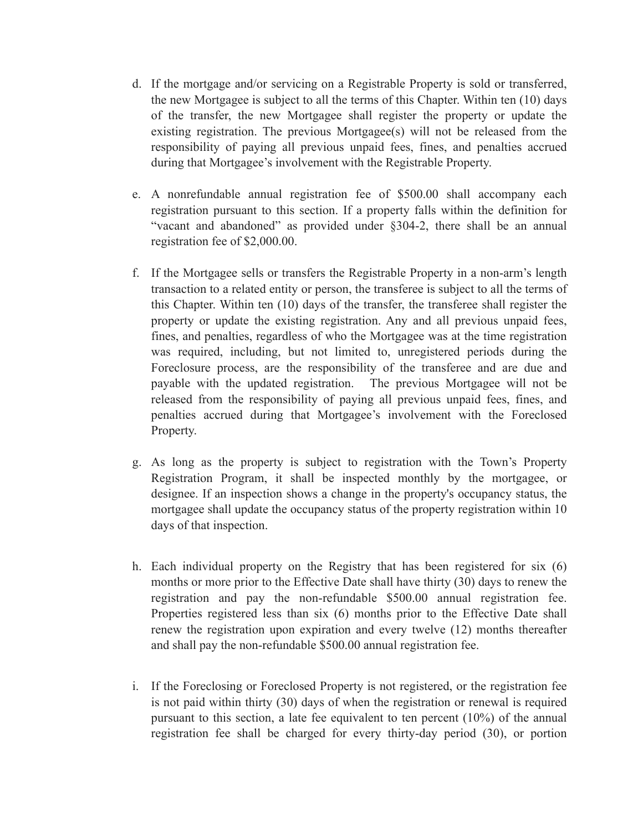- d. If the mortgage and/or servicing on a Registrable Property is sold or transferred, the new Mortgagee is subject to all the terms of this Chapter. Within ten (10) days of the transfer, the new Mortgagee shall register the property or update the existing registration. The previous Mortgagee(s) will not be released from the responsibility of paying all previous unpaid fees, fines, and penalties accrued during that Mortgagee's involvement with the Registrable Property.
- e. A nonrefundable annual registration fee of \$500.00 shall accompany each registration pursuant to this section. If a property falls within the definition for "vacant and abandoned" as provided under §304-2, there shall be an annual registration fee of \$2,000.00.
- f. If the Mortgagee sells or transfers the Registrable Property in a non-arm's length transaction to a related entity or person, the transferee is subject to all the terms of this Chapter. Within ten (10) days of the transfer, the transferee shall register the property or update the existing registration. Any and all previous unpaid fees, fines, and penalties, regardless of who the Mortgagee was at the time registration was required, including, but not limited to, unregistered periods during the Foreclosure process, are the responsibility of the transferee and are due and payable with the updated registration. The previous Mortgagee will not be released from the responsibility of paying all previous unpaid fees, fines, and penalties accrued during that Mortgagee's involvement with the Foreclosed Property.
- g. As long as the property is subject to registration with the Town's Property Registration Program, it shall be inspected monthly by the mortgagee, or designee. If an inspection shows a change in the property's occupancy status, the mortgagee shall update the occupancy status of the property registration within 10 days of that inspection.
- h. Each individual property on the Registry that has been registered for six (6) months or more prior to the Effective Date shall have thirty (30) days to renew the registration and pay the non-refundable \$500.00 annual registration fee. Properties registered less than six (6) months prior to the Effective Date shall renew the registration upon expiration and every twelve (12) months thereafter and shall pay the non-refundable \$500.00 annual registration fee.
- i. If the Foreclosing or Foreclosed Property is not registered, or the registration fee is not paid within thirty (30) days of when the registration or renewal is required pursuant to this section, a late fee equivalent to ten percent (10%) of the annual registration fee shall be charged for every thirty-day period (30), or portion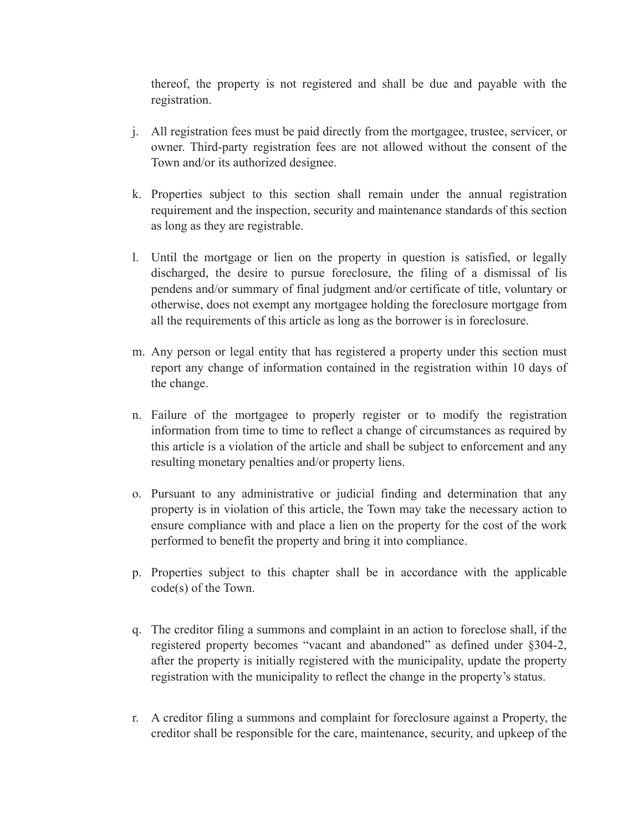thereof, the property is not registered and shall be due and payable with the registration.

- j. All registration fees must be paid directly from the mortgagee, trustee, servicer, or owner. Third-party registration fees are not allowed without the consent of the Town and/or its authorized designee.
- k. Properties subject to this section shall remain under the annual registration requirement and the inspection, security and maintenance standards of this section as long as they are registrable.
- l. Until the mortgage or lien on the property in question is satisfied, or legally discharged, the desire to pursue foreclosure, the filing of a dismissal of lis pendens and/or summary of final judgment and/or certificate of title, voluntary or otherwise, does not exempt any mortgagee holding the foreclosure mortgage from all the requirements of this article as long as the borrower is in foreclosure.
- m. Any person or legal entity that has registered a property under this section must report any change of information contained in the registration within 10 days of the change.
- n. Failure of the mortgagee to properly register or to modify the registration information from time to time to reflect a change of circumstances as required by this article is a violation of the article and shall be subject to enforcement and any resulting monetary penalties and/or property liens.
- o. Pursuant to any administrative or judicial finding and determination that any property is in violation of this article, the Town may take the necessary action to ensure compliance with and place a lien on the property for the cost of the work performed to benefit the property and bring it into compliance.
- p. Properties subject to this chapter shall be in accordance with the applicable code(s) of the Town.
- q. The creditor filing a summons and complaint in an action to foreclose shall, if the registered property becomes "vacant and abandoned" as defined under §304-2, after the property is initially registered with the municipality, update the property registration with the municipality to reflect the change in the property's status.
- r. A creditor filing a summons and complaint for foreclosure against a Property, the creditor shall be responsible for the care, maintenance, security, and upkeep of the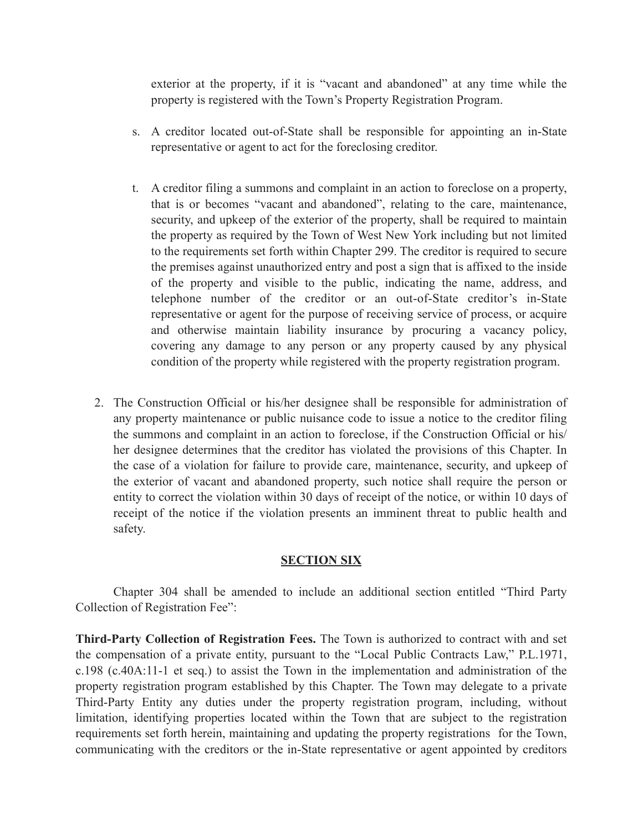exterior at the property, if it is "vacant and abandoned" at any time while the property is registered with the Town's Property Registration Program.

- s. A creditor located out-of-State shall be responsible for appointing an in-State representative or agent to act for the foreclosing creditor.
- t. A creditor filing a summons and complaint in an action to foreclose on a property, that is or becomes "vacant and abandoned", relating to the care, maintenance, security, and upkeep of the exterior of the property, shall be required to maintain the property as required by the Town of West New York including but not limited to the requirements set forth within Chapter 299. The creditor is required to secure the premises against unauthorized entry and post a sign that is affixed to the inside of the property and visible to the public, indicating the name, address, and telephone number of the creditor or an out-of-State creditor's in-State representative or agent for the purpose of receiving service of process, or acquire and otherwise maintain liability insurance by procuring a vacancy policy, covering any damage to any person or any property caused by any physical condition of the property while registered with the property registration program.
- 2. The Construction Official or his/her designee shall be responsible for administration of any property maintenance or public nuisance code to issue a notice to the creditor filing the summons and complaint in an action to foreclose, if the Construction Official or his/ her designee determines that the creditor has violated the provisions of this Chapter. In the case of a violation for failure to provide care, maintenance, security, and upkeep of the exterior of vacant and abandoned property, such notice shall require the person or entity to correct the violation within 30 days of receipt of the notice, or within 10 days of receipt of the notice if the violation presents an imminent threat to public health and safety.

### **SECTION SIX**

Chapter 304 shall be amended to include an additional section entitled "Third Party Collection of Registration Fee":

**Third-Party Collection of Registration Fees.** The Town is authorized to contract with and set the compensation of a private entity, pursuant to the "Local Public Contracts Law," P.L.1971, c.198 (c.40A:11-1 et seq.) to assist the Town in the implementation and administration of the property registration program established by this Chapter. The Town may delegate to a private Third-Party Entity any duties under the property registration program, including, without limitation, identifying properties located within the Town that are subject to the registration requirements set forth herein, maintaining and updating the property registrations for the Town, communicating with the creditors or the in-State representative or agent appointed by creditors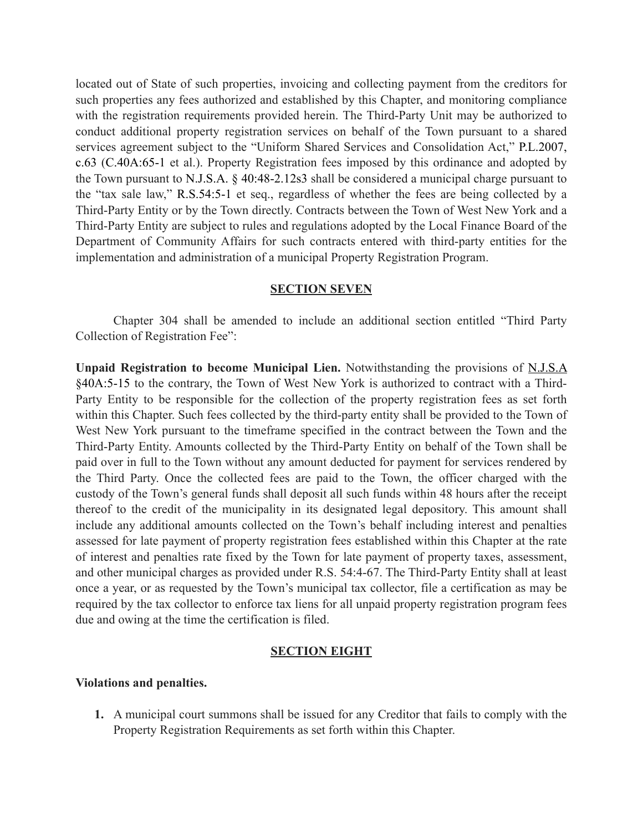located out of State of such properties, invoicing and collecting payment from the creditors for such properties any fees authorized and established by this Chapter, and monitoring compliance with the registration requirements provided herein. The Third-Party Unit may be authorized to conduct additional property registration services on behalf of the Town pursuant to a shared services agreement subject to the "Uniform Shared Services and Consolidation Act," P.L.2007, c.63 (C.40A:65-1 et al.). Property Registration fees imposed by this ordinance and adopted by the Town pursuant to N.J.S.A. § 40:48-2.12s3 shall be considered a municipal charge pursuant to the "tax sale law," R.S.54:5-1 et seq., regardless of whether the fees are being collected by a Third-Party Entity or by the Town directly. Contracts between the Town of West New York and a Third-Party Entity are subject to rules and regulations adopted by the Local Finance Board of the Department of Community Affairs for such contracts entered with third-party entities for the implementation and administration of a municipal Property Registration Program.

#### **SECTION SEVEN**

Chapter 304 shall be amended to include an additional section entitled "Third Party Collection of Registration Fee":

**Unpaid Registration to become Municipal Lien.** Notwithstanding the provisions of N.J.S.A §40A:5-15 to the contrary, the Town of West New York is authorized to contract with a Third-Party Entity to be responsible for the collection of the property registration fees as set forth within this Chapter. Such fees collected by the third-party entity shall be provided to the Town of West New York pursuant to the timeframe specified in the contract between the Town and the Third-Party Entity. Amounts collected by the Third-Party Entity on behalf of the Town shall be paid over in full to the Town without any amount deducted for payment for services rendered by the Third Party. Once the collected fees are paid to the Town, the officer charged with the custody of the Town's general funds shall deposit all such funds within 48 hours after the receipt thereof to the credit of the municipality in its designated legal depository. This amount shall include any additional amounts collected on the Town's behalf including interest and penalties assessed for late payment of property registration fees established within this Chapter at the rate of interest and penalties rate fixed by the Town for late payment of property taxes, assessment, and other municipal charges as provided under R.S. 54:4-67. The Third-Party Entity shall at least once a year, or as requested by the Town's municipal tax collector, file a certification as may be required by the tax collector to enforce tax liens for all unpaid property registration program fees due and owing at the time the certification is filed.

### **SECTION EIGHT**

#### **Violations and penalties.**

**1.** A municipal court summons shall be issued for any Creditor that fails to comply with the Property Registration Requirements as set forth within this Chapter.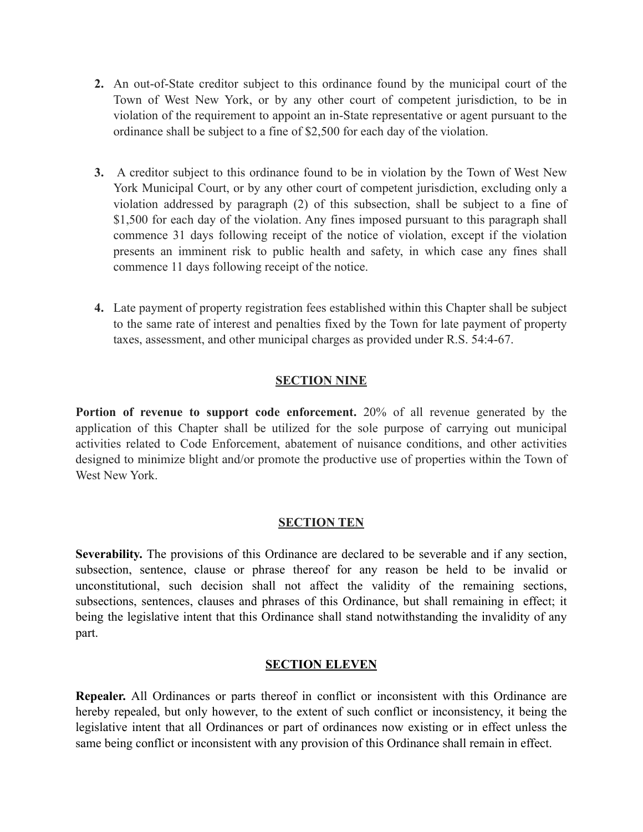- **2.** An out-of-State creditor subject to this ordinance found by the municipal court of the Town of West New York, or by any other court of competent jurisdiction, to be in violation of the requirement to appoint an in-State representative or agent pursuant to the ordinance shall be subject to a fine of \$2,500 for each day of the violation.
- **3.** A creditor subject to this ordinance found to be in violation by the Town of West New York Municipal Court, or by any other court of competent jurisdiction, excluding only a violation addressed by paragraph (2) of this subsection, shall be subject to a fine of \$1,500 for each day of the violation. Any fines imposed pursuant to this paragraph shall commence 31 days following receipt of the notice of violation, except if the violation presents an imminent risk to public health and safety, in which case any fines shall commence 11 days following receipt of the notice.
- **4.** Late payment of property registration fees established within this Chapter shall be subject to the same rate of interest and penalties fixed by the Town for late payment of property taxes, assessment, and other municipal charges as provided under R.S. 54:4-67.

# **SECTION NINE**

**Portion of revenue to support code enforcement.** 20% of all revenue generated by the application of this Chapter shall be utilized for the sole purpose of carrying out municipal activities related to Code Enforcement, abatement of nuisance conditions, and other activities designed to minimize blight and/or promote the productive use of properties within the Town of West New York.

### **SECTION TEN**

**Severability.** The provisions of this Ordinance are declared to be severable and if any section, subsection, sentence, clause or phrase thereof for any reason be held to be invalid or unconstitutional, such decision shall not affect the validity of the remaining sections, subsections, sentences, clauses and phrases of this Ordinance, but shall remaining in effect; it being the legislative intent that this Ordinance shall stand notwithstanding the invalidity of any part.

### **SECTION ELEVEN**

**Repealer.** All Ordinances or parts thereof in conflict or inconsistent with this Ordinance are hereby repealed, but only however, to the extent of such conflict or inconsistency, it being the legislative intent that all Ordinances or part of ordinances now existing or in effect unless the same being conflict or inconsistent with any provision of this Ordinance shall remain in effect.